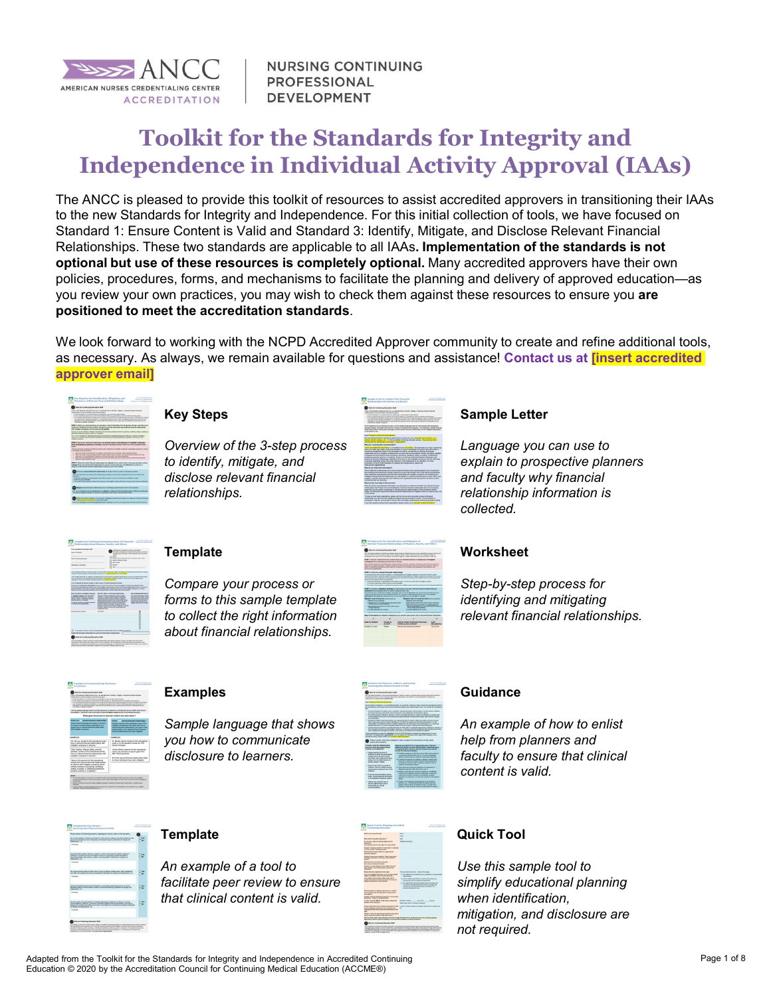

**NURSING CONTINUING PROFESSIONAL DEVELOPMENT** 

# Toolkit for the Standards for Integrity and Independence in Individual Activity Approval (IAAs)

The ANCC is pleased to provide this toolkit of resources to assist accredited approvers in transitioning their IAAs to the new Standards for Integrity and Independence. For this initial collection of tools, we have focused on Standard 1: Ensure Content is Valid and Standard 3: Identify, Mitigate, and Disclose Relevant Financial Relationships. These two standards are applicable to all IAAs. Implementation of the standards is not optional but use of these resources is completely optional. Many accredited approvers have their own policies, procedures, forms, and mechanisms to facilitate the planning and delivery of approved education—as you review your own practices, you may wish to check them against these resources to ensure you are positioned to meet the accreditation standards.<br>We look forward to working with the NCPD Accredited Approver community to create and refine additional tools,

as necessary. As always, we remain available for questions and assistance! Contact us at *[insert accredited*] approver email]



#### Key Steps

Overview of the 3-step process to identify, mitigate, and disclose relevant financial relationships.



#### Sample Letter

Language you can use to explain to prospective planners and faculty why financial relationship information is collected.

|                                                                                                                                                                          | <b>RIPUNAES Are accepted makeur or advertising</b>                                                                                                                                                                                                                                                                                                                                                                                                                                                                                                         |                                                                                                                                                                                   |
|--------------------------------------------------------------------------------------------------------------------------------------------------------------------------|------------------------------------------------------------------------------------------------------------------------------------------------------------------------------------------------------------------------------------------------------------------------------------------------------------------------------------------------------------------------------------------------------------------------------------------------------------------------------------------------------------------------------------------------------------|-----------------------------------------------------------------------------------------------------------------------------------------------------------------------------------|
| <b>Reins of Industrial</b>                                                                                                                                               | sold in                                                                                                                                                                                                                                                                                                                                                                                                                                                                                                                                                    | Flying for allegaling state for the bring the bay<br>the chemical and delivery of the relocation industry of A.                                                                   |
| Third Controllection                                                                                                                                                     | <b>SHOW:</b><br><b>Texture Patrole Classific</b>                                                                                                                                                                                                                                                                                                                                                                                                                                                                                                           | to advertise monitory and control                                                                                                                                                 |
| <b><i><u>TANTAHEA ESSANTAS</u></i></b>                                                                                                                                   | <b>ARA PRE</b><br>home<br>ow.                                                                                                                                                                                                                                                                                                                                                                                                                                                                                                                              |                                                                                                                                                                                   |
| positions. Even has position states including allow                                                                                                                      | Infestive Please constants the full below and intern if it computes to the firm of antari<br>To see the formers to track and householders to an interaction of children and store to count the children<br>Top publicity in the decision and communication of provided a self-cars when the con-for-out difference and                                                                                                                                                                                                                                     |                                                                                                                                                                                   |
|                                                                                                                                                                          | To be forestated by Flyings, Sendin at Sillar Patrick & Cantor Schooling Technik<br>Passe declare all Repeals edalged application have led in the past 34 months with instyllate companies (see definition below).<br>For each framed reservoirs, and the name of the installation outside of the framed reservoirs of the furniture to many<br>hands franked as we full on decise a functional collection conclusion of a state collection Technol<br>declined at form on contracting providers of the state of constant at and contract in the school of |                                                                                                                                                                                   |
| Exter Inc Kenn at Instights Company                                                                                                                                      | Exter the Nature of Freemalal Ratationalitis                                                                                                                                                                                                                                                                                                                                                                                                                                                                                                               | <b>Has be Relationship End</b>                                                                                                                                                    |
| Arizalyth corporates with white<br>advertising a matrix salary<br>who works a bottom booking<br>and as wells wire relative<br>for grands complete all adaptes comparison | Executive affiliated and subject to the fact and send<br>promise combat plans makes released to<br>paints behind painted away contacts<br>advertising painters and resume more<br><b>Additional and state prices shown in Sections</b><br>deaths into his first and his defend-                                                                                                                                                                                                                                                                            | <b>Elle Source and color of</b><br>states for last in moving by<br>summered, characters in<br>a be come for at her.<br>stado de seana i a<br><b><i>UNITED BASES SHOWS AND</i></b> |
| of experience extended.                                                                                                                                                  | <b>Report For Ma Fort cartello, published allow by</b><br>Below) before the twing a world condition and CTM.<br>sibeliar's includes works by more is and aud-<br><b>Corpora</b> Barbara                                                                                                                                                                                                                                                                                                                                                                    |                                                                                                                                                                                   |
|                                                                                                                                                                          | <b>Turn-Aug</b>                                                                                                                                                                                                                                                                                                                                                                                                                                                                                                                                            |                                                                                                                                                                                   |
| Expirate MAT-Trainership                                                                                                                                                 |                                                                                                                                                                                                                                                                                                                                                                                                                                                                                                                                                            |                                                                                                                                                                                   |
|                                                                                                                                                                          |                                                                                                                                                                                                                                                                                                                                                                                                                                                                                                                                                            |                                                                                                                                                                                   |
|                                                                                                                                                                          |                                                                                                                                                                                                                                                                                                                                                                                                                                                                                                                                                            |                                                                                                                                                                                   |
|                                                                                                                                                                          |                                                                                                                                                                                                                                                                                                                                                                                                                                                                                                                                                            |                                                                                                                                                                                   |
|                                                                                                                                                                          |                                                                                                                                                                                                                                                                                                                                                                                                                                                                                                                                                            |                                                                                                                                                                                   |
|                                                                                                                                                                          | 1. In the seal of months / have helited any financial contract with any material companies.                                                                                                                                                                                                                                                                                                                                                                                                                                                                |                                                                                                                                                                                   |

#### **Template**

Compare your process or forms to this sample template to collect the right information about financial relationships.



#### **Worksheet**

Step-by-step process for identifying and mitigating relevant financial relationships.



## Examples

Sample language that shows you how to communicate disclosure to learners.



#### Guidance

An example of how to enlist help from planners and faculty to ensure that clinical content is valid.



## **Template**

An example of a tool to facilitate peer review to ensure that clinical content is valid.

| <b>Outsk Tool for Planning Accredited</b><br>Continuing Education<br>AFFER                                                                                                                                                                 |                                                                                                                                                                                                  | <b><i>Retailed Matters</i></b><br>www.accommunication |
|--------------------------------------------------------------------------------------------------------------------------------------------------------------------------------------------------------------------------------------------|--------------------------------------------------------------------------------------------------------------------------------------------------------------------------------------------------|-------------------------------------------------------|
| <b>Blue is your basis is strait!</b>                                                                                                                                                                                                       | <b>Salva</b>                                                                                                                                                                                     |                                                       |
|                                                                                                                                                                                                                                            | <b>Based</b>                                                                                                                                                                                     |                                                       |
| <b>Sherwit for shortless big stars?</b>                                                                                                                                                                                                    | ta.                                                                                                                                                                                              |                                                       |
| for you have a title a total description by the<br>streams.<br>Feb steel on the father, For has been                                                                                                                                       | Technologypter,                                                                                                                                                                                  |                                                       |
| <b>Denvise Transport Services' benefick's Leaders</b><br>in a firm or Crew' or Not more Cheese.                                                                                                                                            |                                                                                                                                                                                                  |                                                       |
| What preside templated by the part will bit-<br>other when politicianal                                                                                                                                                                    |                                                                                                                                                                                                  |                                                       |
| Deposited Transition and marketing" Technique program after<br>wh patents and broker", heart to give bother feedback to<br>$\sim$                                                                                                          |                                                                                                                                                                                                  |                                                       |
| <b>STAR MINT THE MANUFACTURER PARTY</b><br>Put an your burners moderate                                                                                                                                                                    |                                                                                                                                                                                                  |                                                       |
| Express Ten roof energies is decore afficial harmonic<br>best-believe "surface ted week damagest<br><b>ARANGER</b>                                                                                                                         |                                                                                                                                                                                                  |                                                       |
| <b>Business the firms companies to the right.</b>                                                                                                                                                                                          | The international with a truck of the upper                                                                                                                                                      |                                                       |
| Calculated and Sections and March Arts.<br><b>CRAN AND RESIDENT THREE SERVICES</b>                                                                                                                                                         | TT and address a beneficial transition business at the<br><b>REVIEW</b>                                                                                                                          |                                                       |
| Financial to dark as how man with put to<br>program which had also be included a company for a subject that<br>Highly and integrational of the relation.                                                                                   | TT be by a bested street for a a notice of the including a<br><b>BOOTHING MACHINERY ATACK GATE</b>                                                                                               |                                                       |
|                                                                                                                                                                                                                                            | 77 hrs and depended advanced whole prices the basic radio<br><b>MESSING INFORMATION ASSISTED FROM THE</b><br>worked is a leaving from leading, measurables, and<br><b>Arborat Arabananistany</b> |                                                       |
| What shortgrids in strategy, professionic, arcanitest<br>cars would want by the schedules in both boston's<br><b>MISSION</b>                                                                                                               |                                                                                                                                                                                                  |                                                       |
| feature "strong duration scenes fur-remaining<br>of course, thousands between paid                                                                                                                                                         |                                                                                                                                                                                                  |                                                       |
| be published award. FIREST could advance before the that<br><b>Andrea of the Monday</b>                                                                                                                                                    | Eboles Andor<br><b>Bank and</b><br><b>Blues parallel in Mustake Associate</b>                                                                                                                    | <b>CALLA</b>                                          |
| Floods are burned by danger the transfer sub-<br>to their shottages, and empire in the polluminary<br>change four will lead and bether referentiative to<br>$\overline{a}$                                                                 | VALUES TRANS CHARGES STANDS AND CHARGES AND LODGED<br>$\sim$                                                                                                                                     |                                                       |
| Earth 1st och smoothed deliver mounts<br>status attention tendeds briest sillationfall."                                                                                                                                                   |                                                                                                                                                                                                  |                                                       |
| Also the activity phase solved abordance profession change information for the schiffy and send it is the continuing releasion<br>Applicant is under for craft in his painfield. This ran also marine allocates on the local of this horn. |                                                                                                                                                                                                  |                                                       |

## Quick Tool

Use this sample tool to simplify educational planning when identification, mitigation, and disclosure are not required.

Adapted from the Toolkit for the Standards for Integrity and Independence in Accredited Continuing Education © 2020 by the Accreditation Council for Continuing Medical Education (ACCME®)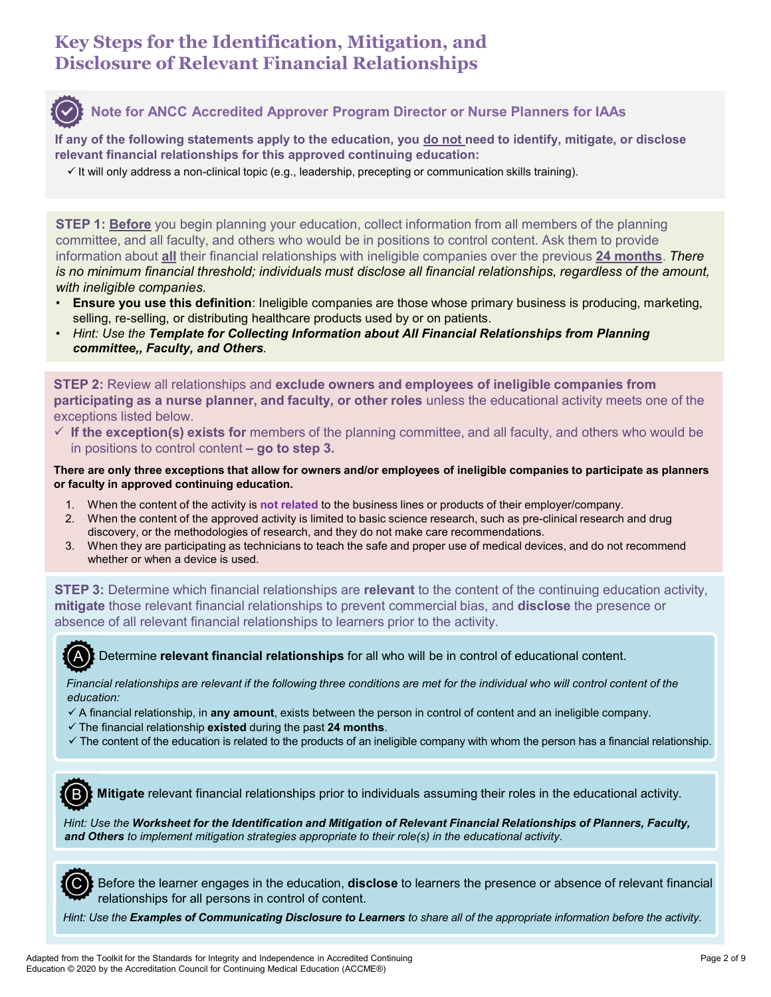# Key Steps for the Identification, Mitigation, and Disclosure of Relevant Financial Relationships



## Note for ANCC Accredited Approver Program Director or Nurse Planners for IAAs

If any of the following statements apply to the education, you do not need to identify, mitigate, or disclose relevant financial relationships for this approved continuing education:

 $\checkmark$  It will only address a non-clinical topic (e.g., leadership, precepting or communication skills training).

**STEP 1: Before** you begin planning your education, collect information from all members of the planning committee, and all faculty, and others who would be in positions to control content. Ask them to provide **information about all their financial relationships**<br> **information** about a factor and the deletted Approver Program Director or Nurse Planners for IAAs<br> **if** any of the following statements apply to the education, you <u>d</u> is no minimum financial threshold; individuals must disclose all financial relationships, regardless of the amount, with ineligible companies. in the following statements apply to the education, you <u>do not</u> need to identify, mitigate, or disclevant financial relationships for this approved continuing education:<br>
"It will only address a non-clinical topic (e.g., 1. The complete and all faculty, and others who would be in positions to control content. Ask them to provide<br>
1. Define the content of the planning your education content of the pressions of the planning<br>
formation about TEP 1: <u>Before</u> you begin planning your education, collect information from all members of the planning<br>ommittee, and all faculty, and others who would be in positions to control content. Ask them to provide<br>formation abou <sup>9</sup> 1: <u>Before</u> you begin planning your education, collect information from all members of the planning<br>ittee, and all faculty, and others who would be in positions to control content. Ask them to provide<br>alternation about TEP 1: Before you begin planning your education, collect information from all members of the planning<br>nominite, and all faculty, and others who would be in positions to control content. Ask them to provide<br>formation about

- **Ensure you use this definition**: Ineligible companies are those whose primary business is producing, marketing, selling, re-selling, or distributing healthcare products used by or on patients.<br>• Hint: Use the Template for Collecting Information about All Financial Relationships from Planning
- committee,, Faculty, and Others.

STEP 2: Review all relationships and exclude owners and employees of ineligible companies from participating as a nurse planner, and faculty, or other roles unless the educational activity meets one of the exceptions listed below. FIFP 2: Review all relationships and exclude owners and employees of ineligible companies from infticipating as a nurse planner, and faculty, or other roles unless the educational activity meets one of the planning oscien

 $\checkmark$  If the exception(s) exists for members of the planning committee, and all faculty, and others who would be

There are only three exceptions that allow for owners and/or employees of ineligible companies to participate as planners or faculty in approved continuing education.

- 
- 
- whether or when a device is used.

**STEP 3:** Determine which financial relationships are **relevant** to the content of the continuing education activity, mitigate those relevant financial relationships to prevent commercial bias, and **disclose** the presence or absence of all relevant financial relationships to learners prior to the activity.



A) Determine relevant financial relationships for all who will be in control of educational content.

education:

- $\checkmark$  A financial relationship, in any amount, exists between the person in control of content and an ineligible company.
- $\checkmark$  The financial relationship existed during the past 24 months.
- $\checkmark$  The content of the education is related to the products of an ineligible company with whom the person has a financial relationship.

**BX** Mitigate relevant financial relationships prior to individuals assuming their roles in the educational activity.

Hint: Use the Worksheet for the Identification and Mitigation of Relevant Financial Relationships of Planners, Faculty, and Others to implement mitigation strategies appropriate to their role(s) in the educational activity.



C Before the learner engages in the education, disclose to learners the presence or absence of relevant financial relationships for all persons in control of content.

Hint: Use the Examples of Communicating Disclosure to Learners to share all of the appropriate information before the activity.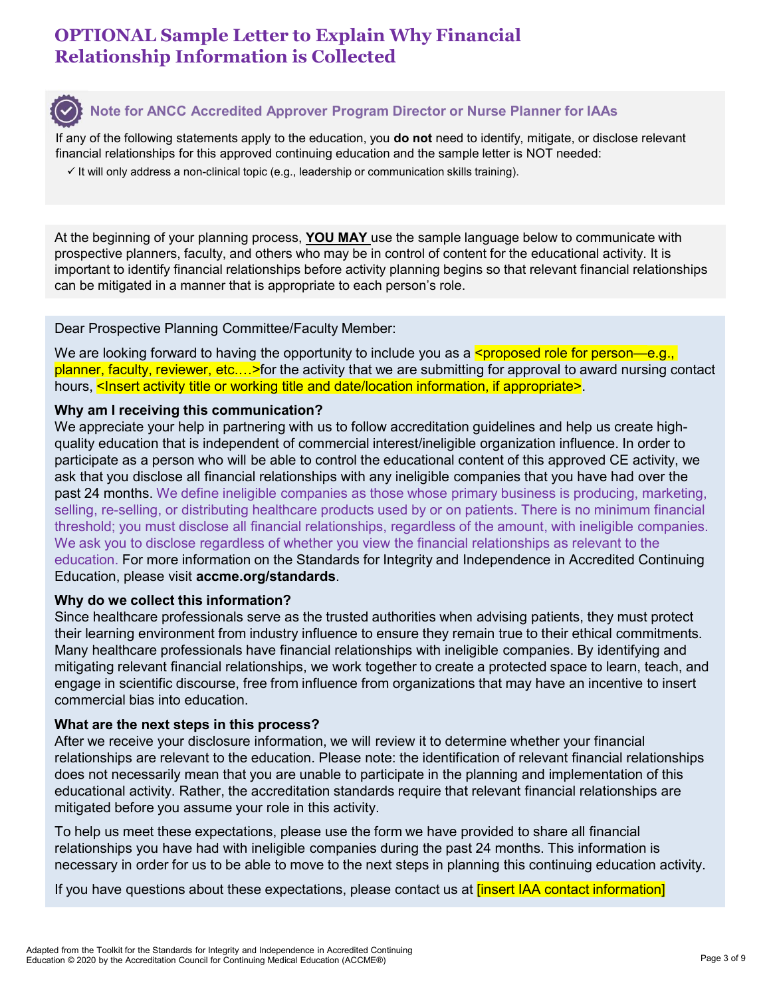# OPTIONAL Sample Letter to Explain Why Financial Relationship Information is Collected



## Note for ANCC Accredited Approver Program Director or Nurse Planner for IAAs

If any of the following statements apply to the education, you do not need to identify, mitigate, or disclose relevant financial relationships for this approved continuing education and the sample letter is NOT needed:

 $\checkmark$  It will only address a non-clinical topic (e.g., leadership or communication skills training).

At the beginning of your planning process, **YOU MAY** use the sample language below to communicate with prospective planners, faculty, and others who may be in control of content for the educational activity. It is important to identify financial relationships before activity planning begins so that relevant financial relationships can be mitigated in a manner that is appropriate to each person's role.

#### Dear Prospective Planning Committee/Faculty Member:

We are looking forward to having the opportunity to include you as a **<proposed role for person—e.g.,** planner, faculty, reviewer, etc.…>for the activity that we are submitting for approval to award nursing contact hours, <Insert activity title or working title and date/location information, if appropriate>.

#### Why am I receiving this communication?

**O**: Note for ANCC Accredited Approver Program Director or Nurse Planner for IAAs<br>
If any of the following statements apply to the education, you do not need to identify, mitigate, or disclose relevant<br>
financial relatio quality education that is independent of commercial interest/ineligible organization influence. In order to participate as a person who will be able to control the educational content of this approved CE activity, we ask that you disclose all financial relationships with any ineligible companies that you have had over the past 24 months. We define ineligible companies as those whose primary business is producing, marketing, selling, re-selling, or distributing healthcare products used by or on patients. There is no minimum financial threshold; you must disclose all financial relationships, regardless of the amount, with ineligible companies. We ask you to disclose regardless of whether you view the financial relationships as relevant to the education. For more information on the Standards for Integrity and Independence in Accredited Continuing Education, please visit accme.org/standards.

#### Why do we collect this information?

Since healthcare professionals serve as the trusted authorities when advising patients, they must protect their learning environment from industry influence to ensure they remain true to their ethical commitments. Many healthcare professionals have financial relationships with ineligible companies. By identifying and mitigating relevant financial relationships, we work together to create a protected space to learn, teach, and engage in scientific discourse, free from influence from organizations that may have an incentive to insert commercial bias into education.

#### What are the next steps in this process?

After we receive your disclosure information, we will review it to determine whether your financial relationships are relevant to the education. Please note: the identification of relevant financial relationships does not necessarily mean that you are unable to participate in the planning and implementation of this educational activity. Rather, the accreditation standards require that relevant financial relationships are mitigated before you assume your role in this activity.

To help us meet these expectations, please use the form we have provided to share all financial relationships you have had with ineligible companies during the past 24 months. This information is necessary in order for us to be able to move to the next steps in planning this continuing education activity.

If you have questions about these expectations, please contact us at *[insert IAA contact information]*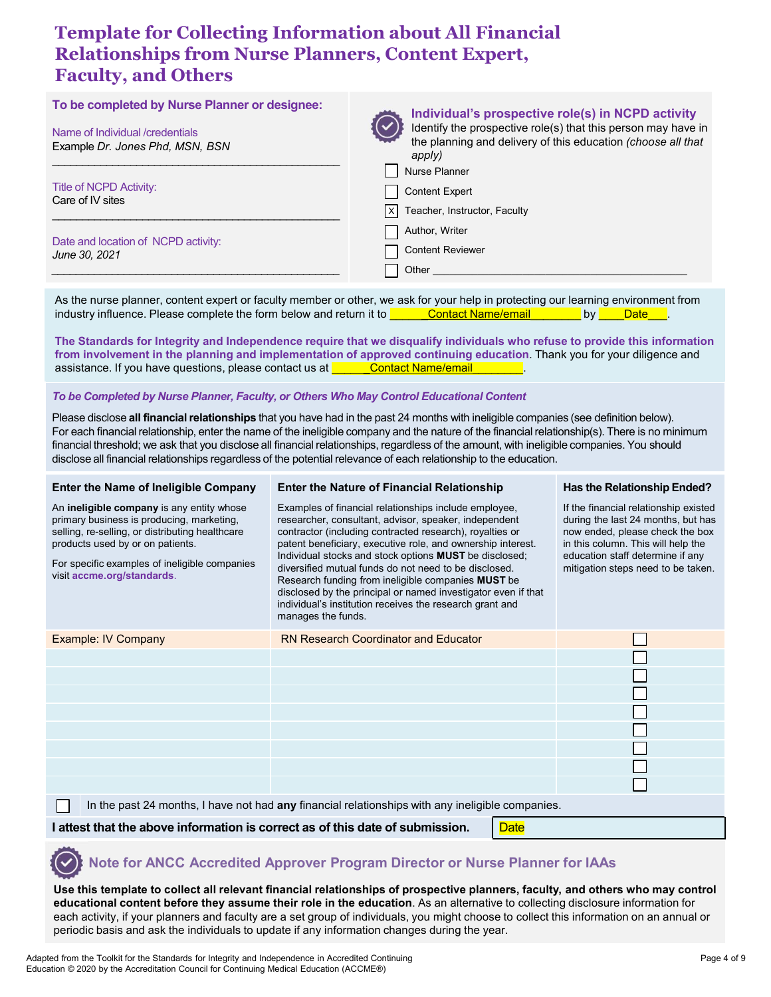# Template for Collecting Information about All Financial Relationships from Nurse Planners, Content Expert, Faculty, and Others

| <b>Faculty, and Others</b>                                                                                          | <b>Template for Collecting Information about All Financial</b><br><b>Relationships from Nurse Planners, Content Expert,</b>                                                                                                                                                                                                                                                                                                                                                                                                                                                                                                                            |                                                                                                                                                                                    |
|---------------------------------------------------------------------------------------------------------------------|--------------------------------------------------------------------------------------------------------------------------------------------------------------------------------------------------------------------------------------------------------------------------------------------------------------------------------------------------------------------------------------------------------------------------------------------------------------------------------------------------------------------------------------------------------------------------------------------------------------------------------------------------------|------------------------------------------------------------------------------------------------------------------------------------------------------------------------------------|
| To be completed by Nurse Planner or designee:<br>Name of Individual /credentials<br>Example Dr. Jones Phd, MSN, BSN | apply)                                                                                                                                                                                                                                                                                                                                                                                                                                                                                                                                                                                                                                                 | Individual's prospective role(s) in NCPD activity<br>Identify the prospective role(s) that this person may have in<br>the planning and delivery of this education (choose all that |
| <b>Title of NCPD Activity:</b><br>Care of IV sites                                                                  | Nurse Planner<br><b>Content Expert</b><br>Teacher, Instructor, Faculty<br> x                                                                                                                                                                                                                                                                                                                                                                                                                                                                                                                                                                           |                                                                                                                                                                                    |
| Date and location of NCPD activity:<br>June 30, 2021                                                                | Author, Writer<br><b>Content Reviewer</b><br>Other                                                                                                                                                                                                                                                                                                                                                                                                                                                                                                                                                                                                     |                                                                                                                                                                                    |
| assistance. If you have questions, please contact us at <b>Contact Name/email</b>                                   | As the nurse planner, content expert or faculty member or other, we ask for your help in protecting our learning environment from<br>industry influence. Please complete the form below and return it to <b>Contact Name/email</b><br>The Standards for Integrity and Independence require that we disqualify individuals who refuse to provide this information<br>from involvement in the planning and implementation of approved continuing education. Thank you for your diligence and                                                                                                                                                             | by Date .                                                                                                                                                                          |
|                                                                                                                     | To be Completed by Nurse Planner, Faculty, or Others Who May Control Educational Content<br>Please disclose all financial relationships that you have had in the past 24 months with ineligible companies (see definition below).<br>For each financial relationship, enter the name of the ineligible company and the nature of the financial relationship(s). There is no minimum<br>financial threshold; we ask that you disclose all financial relationships, regardless of the amount, with ineligible companies. You should<br>disclose all financial relationships regardless of the potential relevance of each relationship to the education. |                                                                                                                                                                                    |
| <b>Enter the Name of Ineligible Company</b><br>An ineligible company is any entity whose                            | <b>Enter the Nature of Financial Relationship</b><br>Examples of financial relationships include employee,                                                                                                                                                                                                                                                                                                                                                                                                                                                                                                                                             | Has the Relationship Ended?<br>If the financial relationship existed                                                                                                               |

#### To be Completed by Nurse Planner, Faculty, or Others Who May Control Educational Content

| industry influence. Please complete the form below and return it to                                                                                                                                                                                                                                                                                                                                                                                                                                                                                        |                                                                                                                                                                                                                                                                                                                                                                                                                                                                                                                                                                       | <b>Contact Name/email</b> | by <sub>l</sub>                                                                                                                                                                                                                | <b>Date</b> |  |
|------------------------------------------------------------------------------------------------------------------------------------------------------------------------------------------------------------------------------------------------------------------------------------------------------------------------------------------------------------------------------------------------------------------------------------------------------------------------------------------------------------------------------------------------------------|-----------------------------------------------------------------------------------------------------------------------------------------------------------------------------------------------------------------------------------------------------------------------------------------------------------------------------------------------------------------------------------------------------------------------------------------------------------------------------------------------------------------------------------------------------------------------|---------------------------|--------------------------------------------------------------------------------------------------------------------------------------------------------------------------------------------------------------------------------|-------------|--|
| The Standards for Integrity and Independence require that we disqualify individuals who refuse to provide this information<br>from involvement in the planning and implementation of approved continuing education. Thank you for your diligence and<br>assistance. If you have questions, please contact us at <b>Contact Name/email</b>                                                                                                                                                                                                                  |                                                                                                                                                                                                                                                                                                                                                                                                                                                                                                                                                                       |                           |                                                                                                                                                                                                                                |             |  |
| To be Completed by Nurse Planner, Faculty, or Others Who May Control Educational Content                                                                                                                                                                                                                                                                                                                                                                                                                                                                   |                                                                                                                                                                                                                                                                                                                                                                                                                                                                                                                                                                       |                           |                                                                                                                                                                                                                                |             |  |
| Please disclose all financial relationships that you have had in the past 24 months with ineligible companies (see definition below).<br>For each financial relationship, enter the name of the ineligible company and the nature of the financial relationship(s). There is no minimum<br>financial threshold; we ask that you disclose all financial relationships, regardless of the amount, with ineligible companies. You should<br>disclose all financial relationships regardless of the potential relevance of each relationship to the education. |                                                                                                                                                                                                                                                                                                                                                                                                                                                                                                                                                                       |                           |                                                                                                                                                                                                                                |             |  |
| <b>Enter the Name of Ineligible Company</b>                                                                                                                                                                                                                                                                                                                                                                                                                                                                                                                | <b>Enter the Nature of Financial Relationship</b>                                                                                                                                                                                                                                                                                                                                                                                                                                                                                                                     |                           | Has the Relationship Ended?                                                                                                                                                                                                    |             |  |
| An ineligible company is any entity whose<br>primary business is producing, marketing,<br>selling, re-selling, or distributing healthcare<br>products used by or on patients.<br>For specific examples of ineligible companies<br>visit accme.org/standards.                                                                                                                                                                                                                                                                                               | Examples of financial relationships include employee,<br>researcher, consultant, advisor, speaker, independent<br>contractor (including contracted research), royalties or<br>patent beneficiary, executive role, and ownership interest.<br>Individual stocks and stock options MUST be disclosed;<br>diversified mutual funds do not need to be disclosed.<br>Research funding from ineligible companies MUST be<br>disclosed by the principal or named investigator even if that<br>individual's institution receives the research grant and<br>manages the funds. |                           | If the financial relationship existed<br>during the last 24 months, but has<br>now ended, please check the box<br>in this column. This will help the<br>education staff determine if any<br>mitigation steps need to be taken. |             |  |
| Example: IV Company                                                                                                                                                                                                                                                                                                                                                                                                                                                                                                                                        | <b>RN Research Coordinator and Educator</b>                                                                                                                                                                                                                                                                                                                                                                                                                                                                                                                           |                           |                                                                                                                                                                                                                                |             |  |
|                                                                                                                                                                                                                                                                                                                                                                                                                                                                                                                                                            |                                                                                                                                                                                                                                                                                                                                                                                                                                                                                                                                                                       |                           |                                                                                                                                                                                                                                |             |  |
|                                                                                                                                                                                                                                                                                                                                                                                                                                                                                                                                                            |                                                                                                                                                                                                                                                                                                                                                                                                                                                                                                                                                                       |                           |                                                                                                                                                                                                                                |             |  |
|                                                                                                                                                                                                                                                                                                                                                                                                                                                                                                                                                            |                                                                                                                                                                                                                                                                                                                                                                                                                                                                                                                                                                       |                           |                                                                                                                                                                                                                                |             |  |
|                                                                                                                                                                                                                                                                                                                                                                                                                                                                                                                                                            |                                                                                                                                                                                                                                                                                                                                                                                                                                                                                                                                                                       |                           |                                                                                                                                                                                                                                |             |  |
|                                                                                                                                                                                                                                                                                                                                                                                                                                                                                                                                                            |                                                                                                                                                                                                                                                                                                                                                                                                                                                                                                                                                                       |                           |                                                                                                                                                                                                                                |             |  |
|                                                                                                                                                                                                                                                                                                                                                                                                                                                                                                                                                            |                                                                                                                                                                                                                                                                                                                                                                                                                                                                                                                                                                       |                           |                                                                                                                                                                                                                                |             |  |
| In the past 24 months, I have not had any financial relationships with any ineligible companies.                                                                                                                                                                                                                                                                                                                                                                                                                                                           |                                                                                                                                                                                                                                                                                                                                                                                                                                                                                                                                                                       |                           |                                                                                                                                                                                                                                |             |  |
| I attest that the above information is correct as of this date of submission.                                                                                                                                                                                                                                                                                                                                                                                                                                                                              |                                                                                                                                                                                                                                                                                                                                                                                                                                                                                                                                                                       | <b>Date</b>               |                                                                                                                                                                                                                                |             |  |
|                                                                                                                                                                                                                                                                                                                                                                                                                                                                                                                                                            |                                                                                                                                                                                                                                                                                                                                                                                                                                                                                                                                                                       |                           |                                                                                                                                                                                                                                |             |  |

# Note for ANCC Accredited Approver Program Director or Nurse Planner for IAAs

Use this template to collect all relevant financial relationships of prospective planners, faculty, and others who may control educational content before they assume their role in the education. As an alternative to collecting disclosure information for each activity, if your planners and faculty are a set group of individuals, you might choose to collect this information on an annual or periodic basis and ask the individuals to update if any information changes during the year.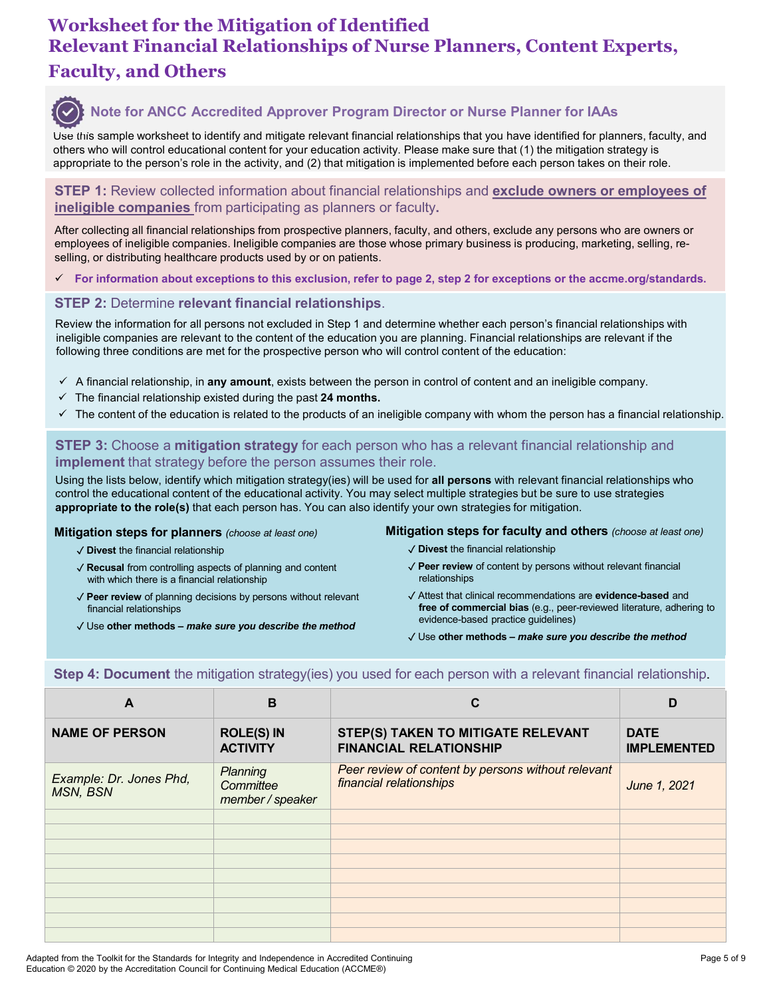# Worksheet for the Mitigation of Identified<br>Relevant Financial Relationships of Nurse Planners, Content Experts,<br>Faculty, and Others<br>Seculty, and Others<br>Seculty and Others<br>Seculty and the collectionships and mitigate releva Worksheet for the Mitigation of Identified Relevant Financial Relationships of Nurse Planners, Content Experts, Faculty, and Others



#### Note for ANCC Accredited Approver Program Director or Nurse Planner for IAAs

Use this sample worksheet to identify and mitigate relevant financial relationships that you have identified for planners, faculty, and others who will control educational content for your education activity. Please make sure that (1) the mitigation strategy is appropriate to the person's role in the activity, and (2) that mitigation is implemented before each person takes on their role.

**STEP 1:** Review collected information about financial relationships and exclude owners or employees of

employees of ineligible companies. Ineligible companies are those whose primary business is producing, marketing, selling, reselling, or distributing healthcare products used by or on patients.

For information about exceptions to this exclusion, refer to page 2, step 2 for exceptions or the accme.org/standards.

#### STEP 2: Determine relevant financial relationships.

EP 2: Determine relevant financial relationships.<br>
EP 2: Determine whether each person's financial<br>
gible companies are relevant to the content of the education you are planning. Financial relationships are<br>
win the infor Review the information for all persons not excluded in Step 1 and determine whether each person's financial relationships with ineligible companies are relevant to the content of the education you are planning. Financial relationships are relevant if the following three conditions are met for the prospective person who will control content of the education:

- $\checkmark$  A financial relationship, in any amount, exists between the person in control of content and an ineligible company.
- $\checkmark$  The financial relationship existed during the past 24 months.
- $\checkmark$  The content of the education is related to the products of an ineligible company with whom the person has a financial relationship.

#### **STEP 3:** Choose a **mitigation strategy** for each person who has a relevant financial relationship and **implement** that strategy before the person assumes their role.

mine whether each person's financial relationships with<br>the planning. Financial relationships are relevant if the<br>control content of the education:<br>in control of content and an ineligible company.<br>ble company with whom the Using the lists below, identify which mitigation strategy(ies) will be used for all persons with relevant financial relationships who control the educational content of the educational activity. You may select multiple strategies but be sure to use strategies appropriate to the role(s) that each person has. You can also identify your own strategies for mitigation.

- ✓ Divest the financial relationship
- ✓ Recusal from controlling aspects of planning and content with which there is a financial relationship
- ✓ Peer review of planning decisions by persons without relevant financial relationships
- 

- ✓ Divest the financial relationship
- ✓ Peer review of content by persons without relevant financial relationships
- ✓ Attest that clinical recommendations are evidence-based and free of commercial bias (e.g., peer-reviewed literature, adhering to evidence-based practice guidelines)
- 

|                                                                                                                                                                                                                                                                                                                               |                                           | following three conditions are met for the prospective person who will control content of the education:                                                                                                                                                                                                                                                                     |                                   |
|-------------------------------------------------------------------------------------------------------------------------------------------------------------------------------------------------------------------------------------------------------------------------------------------------------------------------------|-------------------------------------------|------------------------------------------------------------------------------------------------------------------------------------------------------------------------------------------------------------------------------------------------------------------------------------------------------------------------------------------------------------------------------|-----------------------------------|
| The financial relationship existed during the past 24 months.<br>✓<br>$\checkmark$                                                                                                                                                                                                                                            |                                           | $\checkmark$ A financial relationship, in any amount, exists between the person in control of content and an ineligible company.<br>The content of the education is related to the products of an ineligible company with whom the person has a financial relationship.                                                                                                      |                                   |
| implement that strategy before the person assumes their role.                                                                                                                                                                                                                                                                 |                                           | STEP 3: Choose a mitigation strategy for each person who has a relevant financial relationship and<br>Using the lists below, identify which mitigation strategy(ies) will be used for all persons with relevant financial relationships who<br>control the educational content of the educational activity. You may select multiple strategies but be sure to use strategies |                                   |
| Mitigation steps for planners (choose at least one)                                                                                                                                                                                                                                                                           |                                           | appropriate to the role(s) that each person has. You can also identify your own strategies for mitigation.<br>Mitigation steps for faculty and others (choose at least one)                                                                                                                                                                                                  |                                   |
| $\sqrt{\phantom{a}}$ Divest the financial relationship<br>√ Recusal from controlling aspects of planning and content<br>with which there is a financial relationship<br>√ Peer review of planning decisions by persons without relevant<br>financial relationships<br>√ Use other methods - make sure you describe the method |                                           | $\checkmark$ Divest the financial relationship<br>√ Peer review of content by persons without relevant financial<br>relationships<br>√ Attest that clinical recommendations are evidence-based and<br>free of commercial bias (e.g., peer-reviewed literature, adhering to<br>evidence-based practice guidelines)<br>√ Use other methods - make sure you describe the method |                                   |
|                                                                                                                                                                                                                                                                                                                               |                                           |                                                                                                                                                                                                                                                                                                                                                                              |                                   |
|                                                                                                                                                                                                                                                                                                                               |                                           | Step 4: Document the mitigation strategy(ies) you used for each person with a relevant financial relationship.                                                                                                                                                                                                                                                               |                                   |
| A                                                                                                                                                                                                                                                                                                                             | $\mathbf B$                               | $\mathbf c$                                                                                                                                                                                                                                                                                                                                                                  | D                                 |
| <b>NAME OF PERSON</b>                                                                                                                                                                                                                                                                                                         | <b>ROLE(S) IN</b><br><b>ACTIVITY</b>      | <b>STEP(S) TAKEN TO MITIGATE RELEVANT</b><br><b>FINANCIAL RELATIONSHIP</b>                                                                                                                                                                                                                                                                                                   | <b>DATE</b><br><b>IMPLEMENTED</b> |
| Example: Dr. Jones Phd,<br><b>MSN, BSN</b>                                                                                                                                                                                                                                                                                    | Planning<br>Committee<br>member / speaker | Peer review of content by persons without relevant<br>financial relationships                                                                                                                                                                                                                                                                                                | June 1, 2021                      |
|                                                                                                                                                                                                                                                                                                                               |                                           |                                                                                                                                                                                                                                                                                                                                                                              |                                   |
|                                                                                                                                                                                                                                                                                                                               |                                           |                                                                                                                                                                                                                                                                                                                                                                              |                                   |
|                                                                                                                                                                                                                                                                                                                               |                                           |                                                                                                                                                                                                                                                                                                                                                                              |                                   |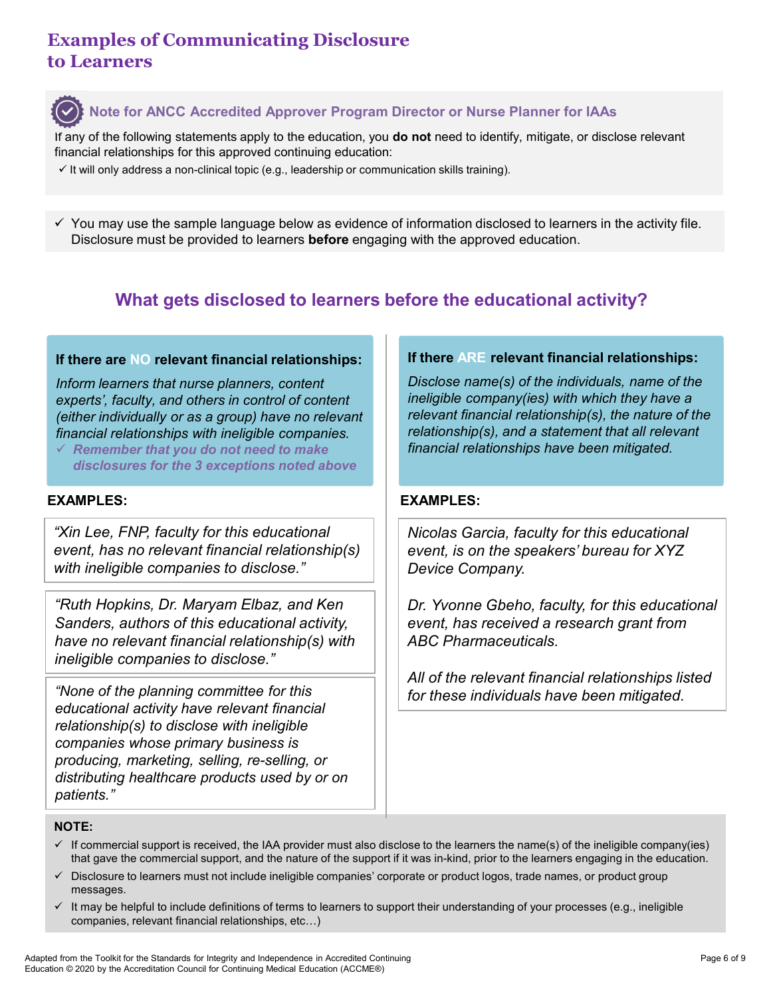# Examples of Communicating Disclosure to Learners



# Note for ANCC Accredited Approver Program Director or Nurse Planner for IAAs

If any of the following statements apply to the education, you do not need to identify, mitigate, or disclose relevant financial relationships for this approved continuing education:

 $\checkmark$  It will only address a non-clinical topic (e.g., leadership or communication skills training).

Examples of Communicating Disclosure<br>
O Learners<br>
The sample of the following statements apply to the education, you do not need to identify, mitigate, or disclose relevant<br>
financial relationships for this approved conti Disclosure must be provided to learners **before** engaging with the approved education.

# What gets disclosed to learners before the educational activity?

#### If there are NO relevant financial relationships:

Inform learners that nurse planners, content experts', faculty, and others in control of content (either individually or as a group) have no relevant financial relationships with ineligible companies.

 $\checkmark$  Remember that you do not need to make disclosures for the 3 exceptions noted above

"Xin Lee, FNP, faculty for this educational event, has no relevant financial relationship(s) with ineligible companies to disclose."

"Ruth Hopkins, Dr. Maryam Elbaz, and Ken Sanders, authors of this educational activity, have no relevant financial relationship(s) with ineligible companies to disclose."

"None of the planning committee for this educational activity have relevant financial relationship(s) to disclose with ineligible companies whose primary business is producing, marketing, selling, re-selling, or distributing healthcare products used by or on patients."

#### If there ARE relevant financial relationships:

Disclose name(s) of the individuals, name of the ineligible company(ies) with which they have a relevant financial relationship(s), the nature of the relationship(s), and a statement that all relevant financial relationships have been mitigated. The most of the sample language below as evidence of information disclosed to learners in the activity file.<br>  $\blacksquare$   $\blacksquare$   $\blacksquare$   $\blacksquare$   $\blacksquare$   $\blacksquare$   $\blacksquare$   $\blacksquare$   $\blacksquare$   $\blacksquare$   $\blacksquare$   $\blacksquare$   $\blacksquare$   $\blacksquare$   $\blacksquare$   $\blacksquare$ 

Nicolas Garcia, faculty for this educational event, is on the speakers' bureau for XYZ Device Company.

Dr. Yvonne Gbeho, faculty, for this educational event, has received a research grant from ABC Pharmaceuticals.

All of the relevant financial relationships listed for these individuals have been mitigated.

#### NOTE:

- $\checkmark$  If commercial support is received, the IAA provider must also disclose to the learners the name(s) of the ineligible company(ies) that gave the commercial support, and the nature of the support if it was in-kind, prior to the learners engaging in the education.
- $\checkmark$  Disclosure to learners must not include ineligible companies' corporate or product logos, trade names, or product group messages.
- $\checkmark$  It may be helpful to include definitions of terms to learners to support their understanding of your processes (e.g., ineligible companies, relevant financial relationships, etc…)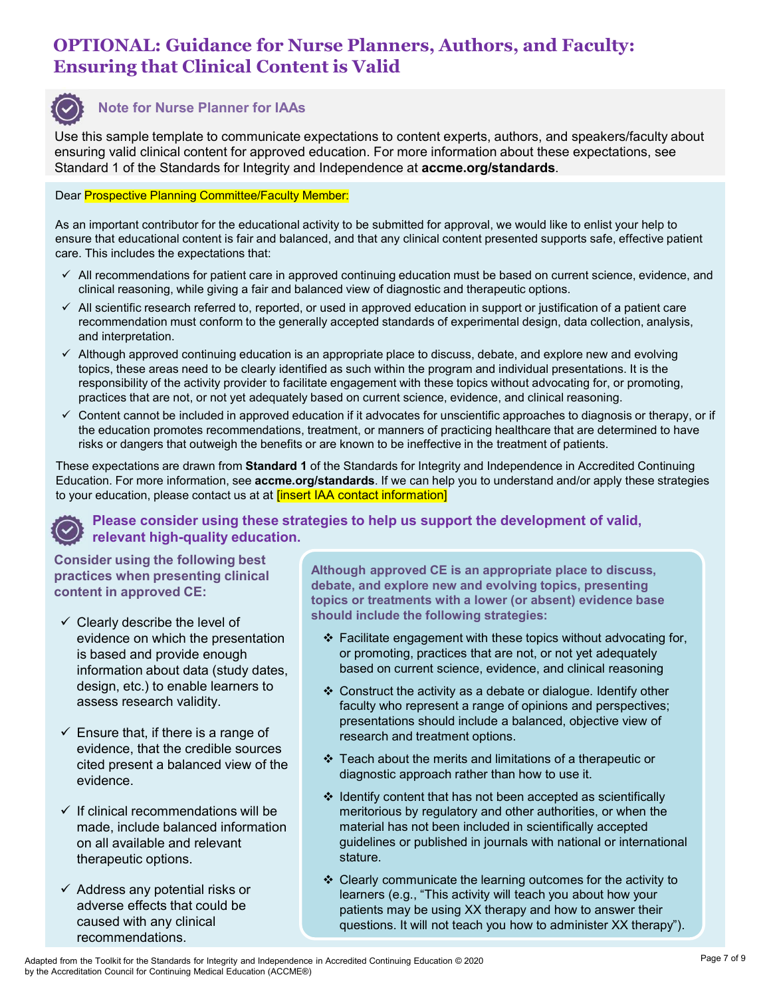# OPTIONAL: Guidance for Nurse Planners, Authors, and Faculty: Ensuring that Clinical Content is Valid



**OPTIONAL: Guidance for Nurse Planners, Authors, and Faculty:**<br> **Ensuring that Clinical Content is Valid**<br>
We this sample template to communicate expectations to content experts, authors, and speakers/faculty about<br>
Standa Use this sample template to communicate expectations to content experts, authors, and speakers/faculty about ensuring valid clinical content for approved education. For more information about these expectations, see Standard 1 of the Standard 1 of the Standards for IAAs<br>Use this sample template to communicate expectations to content experts, authors, and speakers/faculty<br>ensuring valid clinical content for approved education. For more

#### Dear Prospective Planning Committee/Faculty Member:

ensure that educational content is fair and balanced, and that any clinical content presented supports safe, effective patient care. This includes the expectations that:

- $\checkmark$  All recommendations for patient care in approved continuing education must be based on current science, evidence, and clinical reasoning, while giving a fair and balanced view of diagnostic and therapeutic options.
- $\checkmark$  All scientific research referred to, reported, or used in approved education in support or justification of a patient care recommendation must conform to the generally accepted standards of experimental design, data collection, analysis, and interpretation.
- $\checkmark$  Although approved continuing education is an appropriate place to discuss, debate, and explore new and evolving topics, these areas need to be clearly identified as such within the program and individual presentations. It is the responsibility of the activity provider to facilitate engagement with these topics without advocating for, or promoting, practices that are not, or not yet adequately based on current science, evidence, and clinical reasoning. Standard 1 of the standards for integrity and independence at **accme.org/standards**.<br>
Dear **Prospective Planning Committee/Faculty Member:**<br>
As an important controllation for the elucationial activity to be submitted for
- $\checkmark$  Content cannot be included in approved education if it advocates for unscientific approaches to diagnosis or therapy, or if the education promotes recommendations, treatment, or manners of practicing healthcare that are determined to have risks or dangers that outweigh the benefits or are known to be ineffective in the treatment of patients.

These expectations are drawn from Standard 1 of the Standards for Integrity and Independence in Accredited Continuing Education. For more information, see accme.org/standards. If we can help you to understand and/or apply these strategies

## Please consider using these strategies to help us support the development of valid, relevant high-quality education.

Consider using the following best practices when presenting clinical content in approved CE:

- $\checkmark$  Clearly describe the level of evidence on which the presentation is based and provide enough information about data (study dates, design, etc.) to enable learners to assess research validity.
- $\checkmark$  Ensure that, if there is a range of evidence, that the credible sources cited present a balanced view of the evidence.
- $\checkmark$  If clinical recommendations will be made, include balanced information on all available and relevant therapeutic options.
- $\checkmark$  Address any potential risks or adverse effects that could be caused with any clinical recommendations.

Although approved CE is an appropriate place to discuss, debate, and explore new and evolving topics, presenting topics or treatments with a lower (or absent) evidence base should include the following strategies:

- ❖ Facilitate engagement with these topics without advocating for, or promoting, practices that are not, or not yet adequately based on current science, evidence, and clinical reasoning
- Construct the activity as a debate or dialogue. Identify other faculty who represent a range of opinions and perspectives; presentations should include a balanced, objective view of research and treatment options.
- $\div$  Teach about the merits and limitations of a therapeutic or diagnostic approach rather than how to use it.
- $\div$  Identify content that has not been accepted as scientifically meritorious by regulatory and other authorities, or when the material has not been included in scientifically accepted guidelines or published in journals with national or international stature.
- ❖ Clearly communicate the learning outcomes for the activity to learners (e.g., "This activity will teach you about how your patients may be using XX therapy and how to answer their questions. It will not teach you how to administer XX therapy").